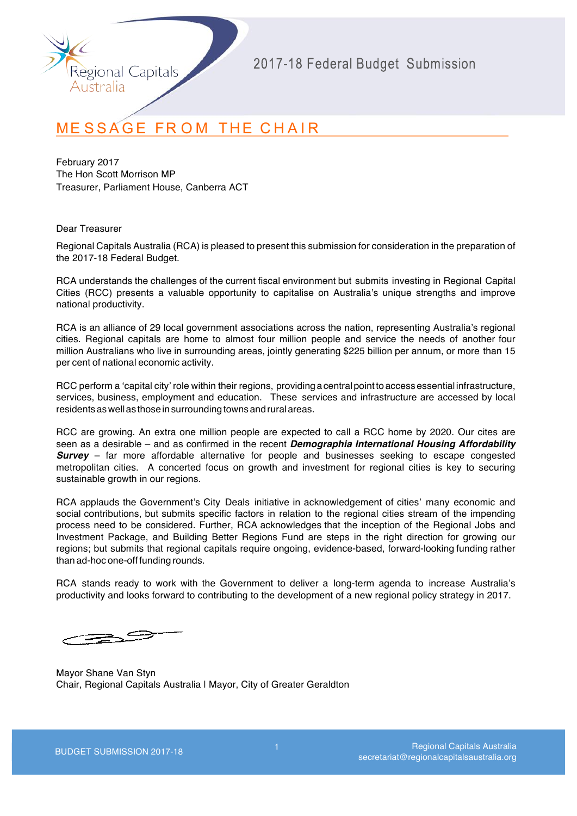

# **MESSAGE FROM THE CHAIR**

February 2017 The Hon Scott Morrison MP Treasurer, Parliament House, Canberra ACT

Dear Treasurer

Regional Capitals Australia (RCA) is pleased to present this submission for consideration in the preparation of the 2017-18 Federal Budget.

RCA understands the challenges of the current fiscal environment but submits investing in Regional Capital Cities (RCC) presents a valuable opportunity to capitalise on Australia's unique strengths and improve national productivity.

RCA is an alliance of 29 local government associations across the nation, representing Australia's regional cities. Regional capitals are home to almost four million people and service the needs of another four million Australians who live in surrounding areas, jointly generating \$225 billion per annum, or more than 15 per cent of national economic activity.

RCC perform a 'capital city' role within their regions, providing a central point to access essential infrastructure, services, business, employment and education. These services and infrastructure are accessed by local residents as well as those in surrounding towns and rural areas.

RCC are growing. An extra one million people are expected to call a RCC home by 2020. Our cites are seen as a desirable – and as confirmed in the recent *Demographia International Housing Affordability*  **Survey** – far more affordable alternative for people and businesses seeking to escape congested metropolitan cities. A concerted focus on growth and investment for regional cities is key to securing sustainable growth in our regions.

RCA applauds the Government's City Deals initiative in acknowledgement of cities' many economic and social contributions, but submits specific factors in relation to the regional cities stream of the impending process need to be considered. Further, RCA acknowledges that the inception of the Regional Jobs and Investment Package, and Building Better Regions Fund are steps in the right direction for growing our regions; but submits that regional capitals require ongoing, evidence-based, forward-looking funding rather than ad-hoc one-off funding rounds.

RCA stands ready to work with the Government to deliver a long-term agenda to increase Australia's productivity and looks forward to contributing to the development of a new regional policy strategy in 2017.

Mayor Shane Van Styn Chair, Regional Capitals Australia | Mayor, City of Greater Geraldton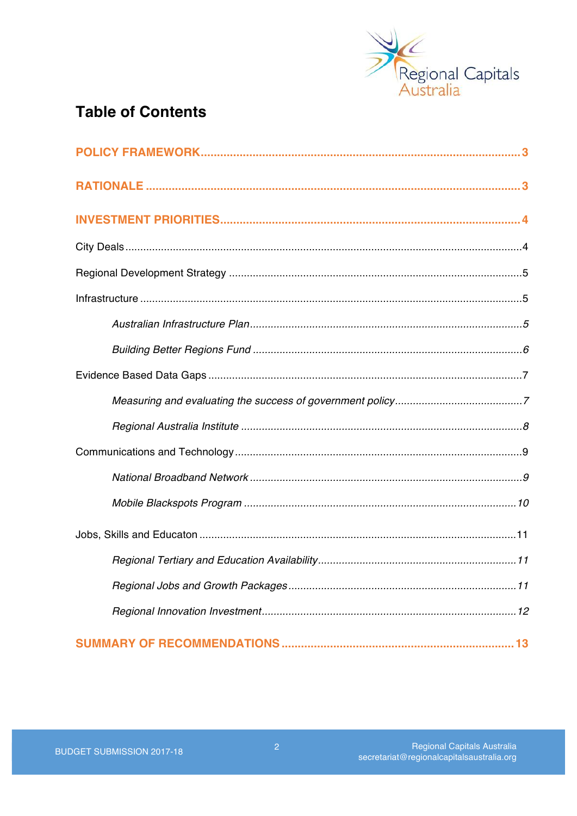

## **Table of Contents**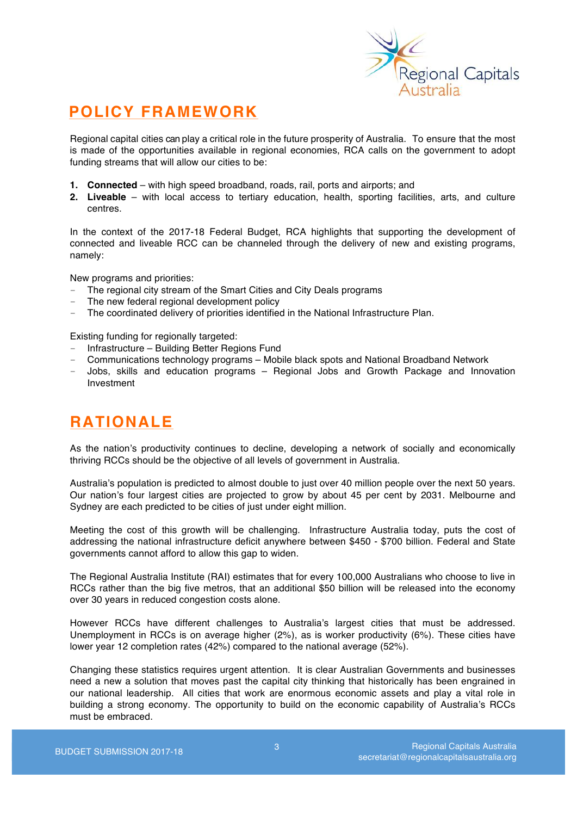

## **POLICY FRAMEWORK**

Regional capital cities can play a critical role in the future prosperity of Australia. To ensure that the most is made of the opportunities available in regional economies, RCA calls on the government to adopt funding streams that will allow our cities to be:

- **1. Connected** with high speed broadband, roads, rail, ports and airports; and
- **2. Liveable**  with local access to tertiary education, health, sporting facilities, arts, and culture centres.

In the context of the 2017-18 Federal Budget, RCA highlights that supporting the development of connected and liveable RCC can be channeled through the delivery of new and existing programs, namely:

New programs and priorities:

- The regional city stream of the Smart Cities and City Deals programs
- The new federal regional development policy
- The coordinated delivery of priorities identified in the National Infrastructure Plan.

Existing funding for regionally targeted:

- Infrastructure Building Better Regions Fund
- Communications technology programs Mobile black spots and National Broadband Network
- Jobs, skills and education programs Regional Jobs and Growth Package and Innovation Investment

## **RATIONALE**

As the nation's productivity continues to decline, developing a network of socially and economically thriving RCCs should be the objective of all levels of government in Australia.

Australia's population is predicted to almost double to just over 40 million people over the next 50 years. Our nation's four largest cities are projected to grow by about 45 per cent by 2031. Melbourne and Sydney are each predicted to be cities of just under eight million.

Meeting the cost of this growth will be challenging. Infrastructure Australia today, puts the cost of addressing the national infrastructure deficit anywhere between \$450 - \$700 billion. Federal and State governments cannot afford to allow this gap to widen.

The Regional Australia Institute (RAI) estimates that for every 100,000 Australians who choose to live in RCCs rather than the big five metros, that an additional \$50 billion will be released into the economy over 30 years in reduced congestion costs alone.

However RCCs have different challenges to Australia's largest cities that must be addressed. Unemployment in RCCs is on average higher (2%), as is worker productivity (6%). These cities have lower year 12 completion rates (42%) compared to the national average (52%).

Changing these statistics requires urgent attention. It is clear Australian Governments and businesses need a new a solution that moves past the capital city thinking that historically has been engrained in our national leadership. All cities that work are enormous economic assets and play a vital role in building a strong economy. The opportunity to build on the economic capability of Australia's RCCs must be embraced.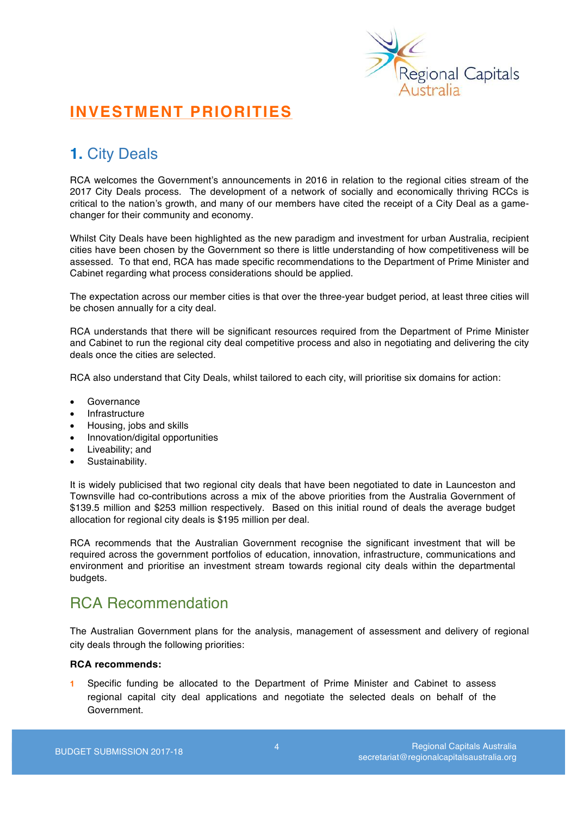

# **INVESTMENT PRIORITIES**

# **1.** City Deals

RCA welcomes the Government's announcements in 2016 in relation to the regional cities stream of the 2017 City Deals process. The development of a network of socially and economically thriving RCCs is critical to the nation's growth, and many of our members have cited the receipt of a City Deal as a gamechanger for their community and economy.

Whilst City Deals have been highlighted as the new paradigm and investment for urban Australia, recipient cities have been chosen by the Government so there is little understanding of how competitiveness will be assessed. To that end, RCA has made specific recommendations to the Department of Prime Minister and Cabinet regarding what process considerations should be applied.

The expectation across our member cities is that over the three-year budget period, at least three cities will be chosen annually for a city deal.

RCA understands that there will be significant resources required from the Department of Prime Minister and Cabinet to run the regional city deal competitive process and also in negotiating and delivering the city deals once the cities are selected.

RCA also understand that City Deals, whilst tailored to each city, will prioritise six domains for action:

- Governance
- **Infrastructure**
- Housing, jobs and skills
- Innovation/digital opportunities
- Liveability; and
- Sustainability.

It is widely publicised that two regional city deals that have been negotiated to date in Launceston and Townsville had co-contributions across a mix of the above priorities from the Australia Government of \$139.5 million and \$253 million respectively. Based on this initial round of deals the average budget allocation for regional city deals is \$195 million per deal.

RCA recommends that the Australian Government recognise the significant investment that will be required across the government portfolios of education, innovation, infrastructure, communications and environment and prioritise an investment stream towards regional city deals within the departmental budgets.

## RCA Recommendation

The Australian Government plans for the analysis, management of assessment and delivery of regional city deals through the following priorities:

### **RCA recommends:**

**1** Specific funding be allocated to the Department of Prime Minister and Cabinet to assess regional capital city deal applications and negotiate the selected deals on behalf of the Government.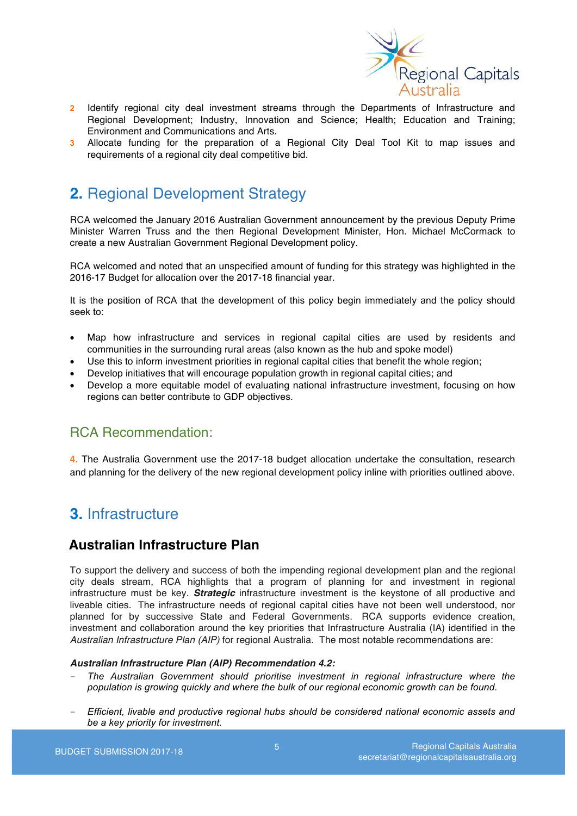

- **2** Identify regional city deal investment streams through the Departments of Infrastructure and Regional Development; Industry, Innovation and Science; Health; Education and Training; Environment and Communications and Arts.
- **3** Allocate funding for the preparation of a Regional City Deal Tool Kit to map issues and requirements of a regional city deal competitive bid.

## **2.** Regional Development Strategy

RCA welcomed the January 2016 Australian Government announcement by the previous Deputy Prime Minister Warren Truss and the then Regional Development Minister, Hon. Michael McCormack to create a new Australian Government Regional Development policy.

RCA welcomed and noted that an unspecified amount of funding for this strategy was highlighted in the 2016-17 Budget for allocation over the 2017-18 financial year.

It is the position of RCA that the development of this policy begin immediately and the policy should seek to:

- Map how infrastructure and services in regional capital cities are used by residents and communities in the surrounding rural areas (also known as the hub and spoke model)
- Use this to inform investment priorities in regional capital cities that benefit the whole region;
- Develop initiatives that will encourage population growth in regional capital cities; and
- Develop a more equitable model of evaluating national infrastructure investment, focusing on how regions can better contribute to GDP objectives.

### RCA Recommendation:

**4.** The Australia Government use the 2017-18 budget allocation undertake the consultation, research and planning for the delivery of the new regional development policy inline with priorities outlined above.

## **3.** Infrastructure

### **Australian Infrastructure Plan**

To support the delivery and success of both the impending regional development plan and the regional city deals stream, RCA highlights that a program of planning for and investment in regional infrastructure must be key. *Strategic* infrastructure investment is the keystone of all productive and liveable cities. The infrastructure needs of regional capital cities have not been well understood, nor planned for by successive State and Federal Governments. RCA supports evidence creation, investment and collaboration around the key priorities that Infrastructure Australia (IA) identified in the *Australian Infrastructure Plan (AIP)* for regional Australia. The most notable recommendations are:

#### *Australian Infrastructure Plan (AIP) Recommendation 4.2:*

- *The Australian Government should prioritise investment in regional infrastructure where the population is growing quickly and where the bulk of our regional economic growth can be found.*
- *Efficient, livable and productive regional hubs should be considered national economic assets and be a key priority for investment.*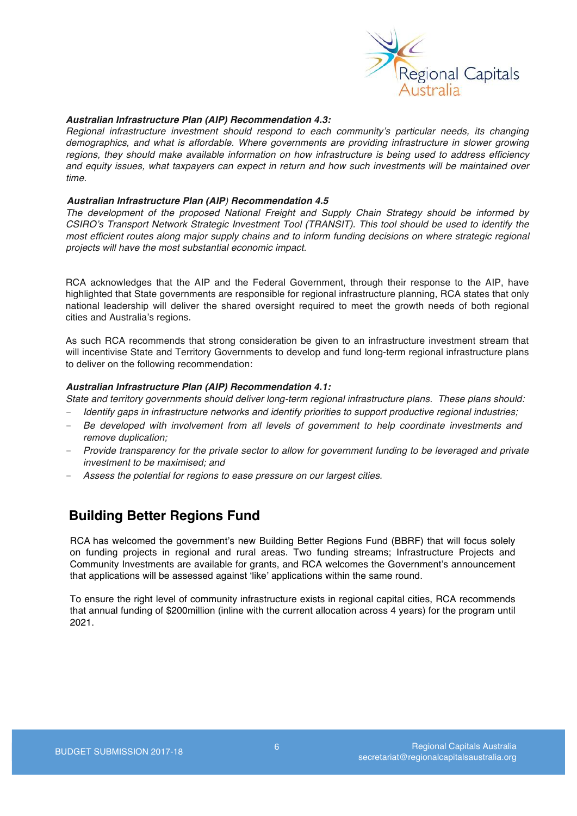

#### *Australian Infrastructure Plan (AIP) Recommendation 4.3:*

*Regional infrastructure investment should respond to each community's particular needs, its changing demographics, and what is affordable. Where governments are providing infrastructure in slower growing regions, they should make available information on how infrastructure is being used to address efficiency and equity issues, what taxpayers can expect in return and how such investments will be maintained over time.*

#### *Australian Infrastructure Plan (AIP) Recommendation 4.5*

*The development of the proposed National Freight and Supply Chain Strategy should be informed by CSIRO's Transport Network Strategic Investment Tool (TRANSIT). This tool should be used to identify the most efficient routes along major supply chains and to inform funding decisions on where strategic regional projects will have the most substantial economic impact.*

RCA acknowledges that the AIP and the Federal Government, through their response to the AIP, have highlighted that State governments are responsible for regional infrastructure planning, RCA states that only national leadership will deliver the shared oversight required to meet the growth needs of both regional cities and Australia's regions.

As such RCA recommends that strong consideration be given to an infrastructure investment stream that will incentivise State and Territory Governments to develop and fund long-term regional infrastructure plans to deliver on the following recommendation:

### *Australian Infrastructure Plan (AIP) Recommendation 4.1:*

*State and territory governments should deliver long-term regional infrastructure plans. These plans should:*

- *Identify gaps in infrastructure networks and identify priorities to support productive regional industries;*
- *Be developed with involvement from all levels of government to help coordinate investments and remove duplication;*
- *Provide transparency for the private sector to allow for government funding to be leveraged and private investment to be maximised; and*
- *Assess the potential for regions to ease pressure on our largest cities.*

## **Building Better Regions Fund**

RCA has welcomed the government's new Building Better Regions Fund (BBRF) that will focus solely on funding projects in regional and rural areas. Two funding streams; Infrastructure Projects and Community Investments are available for grants, and RCA welcomes the Government's announcement that applications will be assessed against 'like' applications within the same round.

To ensure the right level of community infrastructure exists in regional capital cities, RCA recommends that annual funding of \$200million (inline with the current allocation across 4 years) for the program until 2021.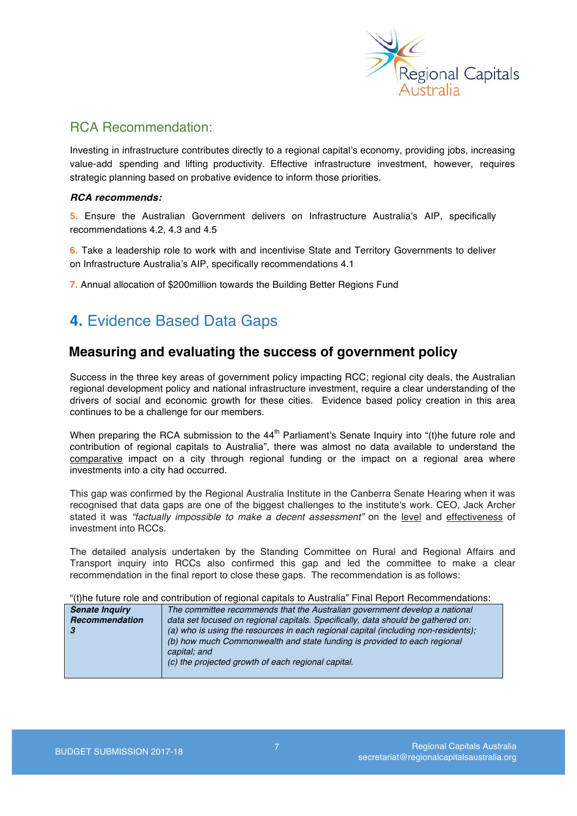

### RCA Recommendation:

Investing in infrastructure contributes directly to a regional capital's economy, providing jobs, increasing value-add spending and lifting productivity. Effective infrastructure investment, however, requires strategic planning based on probative evidence to inform those priorities.

### *RCA recommends:*

**5.** Ensure the Australian Government delivers on Infrastructure Australia's AIP, specifically recommendations 4.2, 4.3 and 4.5

**6.** Take a leadership role to work with and incentivise State and Territory Governments to deliver on Infrastructure Australia's AIP, specifically recommendations 4.1

**7.** Annual allocation of \$200million towards the Building Better Regions Fund

## **4.** Evidence Based Data Gaps

### **Measuring and evaluating the success of government policy**

Success in the three key areas of government policy impacting RCC; regional city deals, the Australian regional development policy and national infrastructure investment, require a clear understanding of the drivers of social and economic growth for these cities. Evidence based policy creation in this area continues to be a challenge for our members.

When preparing the RCA submission to the  $44<sup>th</sup>$  Parliament's Senate Inquiry into "(t)he future role and contribution of regional capitals to Australia", there was almost no data available to understand the comparative impact on a city through regional funding or the impact on a regional area where investments into a city had occurred.

This gap was confirmed by the Regional Australia Institute in the Canberra Senate Hearing when it was recognised that data gaps are one of the biggest challenges to the institute's work. CEO, Jack Archer stated it was *"factually impossible to make a decent assessment"* on the level and effectiveness of investment into RCCs.

The detailed analysis undertaken by the Standing Committee on Rural and Regional Affairs and Transport inquiry into RCCs also confirmed this gap and led the committee to make a clear recommendation in the final report to close these gaps. The recommendation is as follows:

"(t)he future role and contribution of regional capitals to Australia" Final Report Recommendations:

| <b>Senate Inquiry</b> | The committee recommends that the Australian government develop a national         |
|-----------------------|------------------------------------------------------------------------------------|
| Recommendation        | data set focused on regional capitals. Specifically, data should be gathered on:   |
|                       | (a) who is using the resources in each regional capital (including non-residents); |
|                       | (b) how much Commonwealth and state funding is provided to each regional           |
|                       | capital; and                                                                       |
|                       | (c) the projected growth of each regional capital.                                 |
|                       |                                                                                    |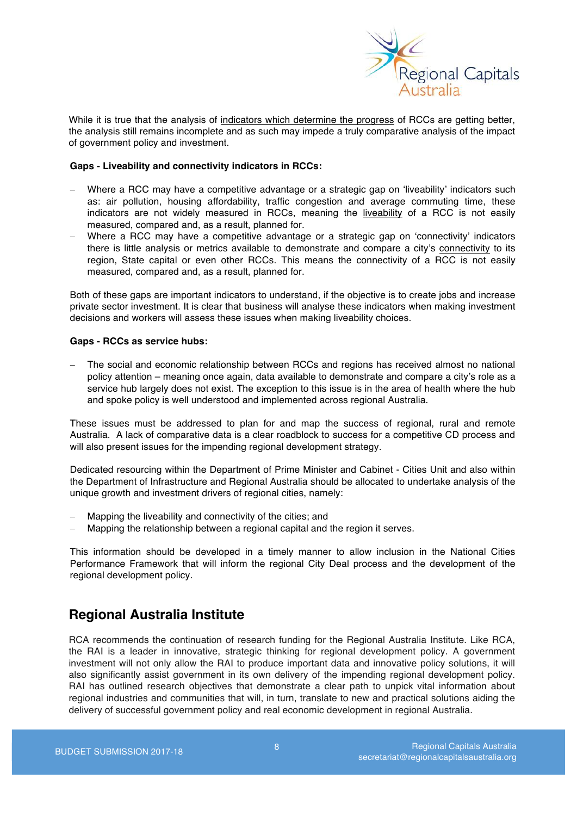

While it is true that the analysis of indicators which determine the progress of RCCs are getting better, the analysis still remains incomplete and as such may impede a truly comparative analysis of the impact of government policy and investment.

#### **Gaps - Liveability and connectivity indicators in RCCs:**

- Where a RCC may have a competitive advantage or a strategic gap on 'liveability' indicators such as: air pollution, housing affordability, traffic congestion and average commuting time, these indicators are not widely measured in RCCs, meaning the liveability of a RCC is not easily measured, compared and, as a result, planned for.
- Where a RCC may have a competitive advantage or a strategic gap on 'connectivity' indicators there is little analysis or metrics available to demonstrate and compare a city's connectivity to its region, State capital or even other RCCs. This means the connectivity of a RCC is not easily measured, compared and, as a result, planned for.

Both of these gaps are important indicators to understand, if the objective is to create jobs and increase private sector investment. It is clear that business will analyse these indicators when making investment decisions and workers will assess these issues when making liveability choices.

#### **Gaps - RCCs as service hubs:**

The social and economic relationship between RCCs and regions has received almost no national policy attention – meaning once again, data available to demonstrate and compare a city's role as a service hub largely does not exist. The exception to this issue is in the area of health where the hub and spoke policy is well understood and implemented across regional Australia.

These issues must be addressed to plan for and map the success of regional, rural and remote Australia. A lack of comparative data is a clear roadblock to success for a competitive CD process and will also present issues for the impending regional development strategy.

Dedicated resourcing within the Department of Prime Minister and Cabinet - Cities Unit and also within the Department of Infrastructure and Regional Australia should be allocated to undertake analysis of the unique growth and investment drivers of regional cities, namely:

- Mapping the liveability and connectivity of the cities; and
- Mapping the relationship between a regional capital and the region it serves.

This information should be developed in a timely manner to allow inclusion in the National Cities Performance Framework that will inform the regional City Deal process and the development of the regional development policy.

## **Regional Australia Institute**

RCA recommends the continuation of research funding for the Regional Australia Institute. Like RCA, the RAI is a leader in innovative, strategic thinking for regional development policy. A government investment will not only allow the RAI to produce important data and innovative policy solutions, it will also significantly assist government in its own delivery of the impending regional development policy. RAI has outlined research objectives that demonstrate a clear path to unpick vital information about regional industries and communities that will, in turn, translate to new and practical solutions aiding the delivery of successful government policy and real economic development in regional Australia.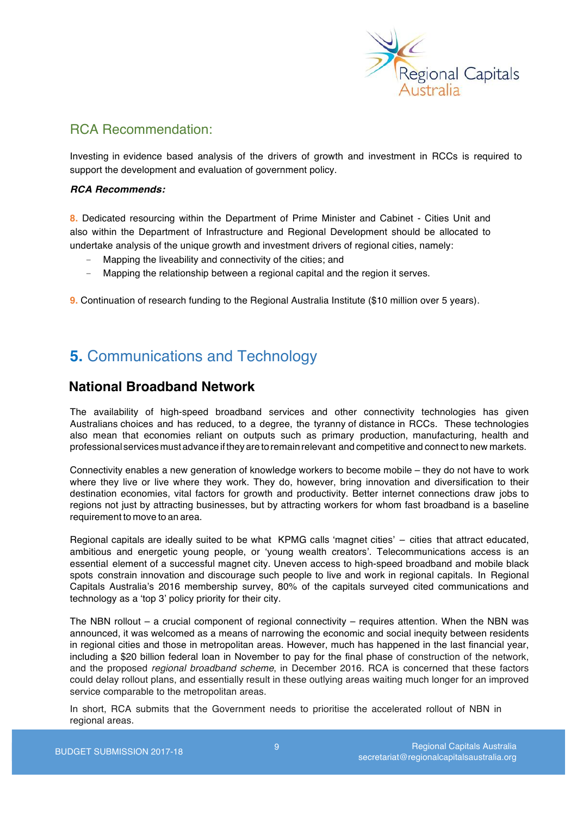

## RCA Recommendation:

Investing in evidence based analysis of the drivers of growth and investment in RCCs is required to support the development and evaluation of government policy.

### *RCA Recommends:*

**8.** Dedicated resourcing within the Department of Prime Minister and Cabinet - Cities Unit and also within the Department of Infrastructure and Regional Development should be allocated to undertake analysis of the unique growth and investment drivers of regional cities, namely:

- Mapping the liveability and connectivity of the cities; and
- Mapping the relationship between a regional capital and the region it serves.

**9.** Continuation of research funding to the Regional Australia Institute (\$10 million over 5 years).

# **5.** Communications and Technology

## **National Broadband Network**

The availability of high-speed broadband services and other connectivity technologies has given Australians choices and has reduced, to a degree, the tyranny of distance in RCCs. These technologies also mean that economies reliant on outputs such as primary production, manufacturing, health and professional servicesmustadvanceiftheyare to remain relevant and competitive and connect to new markets.

Connectivity enables a new generation of knowledge workers to become mobile – they do not have to work where they live or live where they work. They do, however, bring innovation and diversification to their destination economies, vital factors for growth and productivity. Better internet connections draw jobs to regions not just by attracting businesses, but by attracting workers for whom fast broadband is a baseline requirement to move to an area.

Regional capitals are ideally suited to be what KPMG calls 'magnet cities' – cities that attract educated, ambitious and energetic young people, or 'young wealth creators'. Telecommunications access is an essential element of a successful magnet city. Uneven access to high-speed broadband and mobile black spots constrain innovation and discourage such people to live and work in regional capitals. In Regional Capitals Australia's 2016 membership survey, 80% of the capitals surveyed cited communications and technology as a 'top 3' policy priority for their city.

The NBN rollout – a crucial component of regional connectivity – requires attention. When the NBN was announced, it was welcomed as a means of narrowing the economic and social inequity between residents in regional cities and those in metropolitan areas. However, much has happened in the last financial year, including a \$20 billion federal loan in November to pay for the final phase of construction of the network, and the proposed *regional broadband scheme*, in December 2016. RCA is concerned that these factors could delay rollout plans, and essentially result in these outlying areas waiting much longer for an improved service comparable to the metropolitan areas.

In short, RCA submits that the Government needs to prioritise the accelerated rollout of NBN in regional areas.

9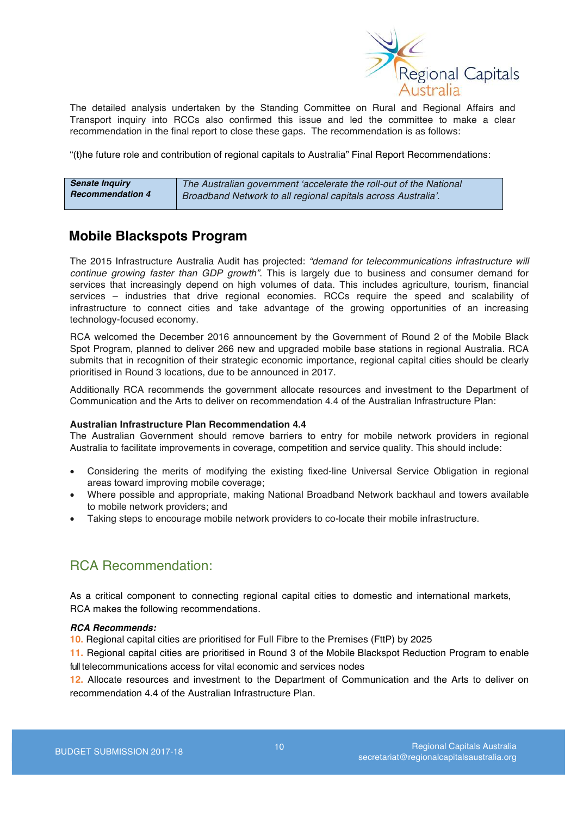

The detailed analysis undertaken by the Standing Committee on Rural and Regional Affairs and Transport inquiry into RCCs also confirmed this issue and led the committee to make a clear recommendation in the final report to close these gaps. The recommendation is as follows:

"(t)he future role and contribution of regional capitals to Australia" Final Report Recommendations:

| <b>Senate Inquiry</b>   | The Australian government 'accelerate the roll-out of the National |
|-------------------------|--------------------------------------------------------------------|
| <b>Recommendation 4</b> | Broadband Network to all regional capitals across Australia'.      |

## **Mobile Blackspots Program**

The 2015 Infrastructure Australia Audit has projected: *"demand for telecommunications infrastructure will continue growing faster than GDP growth"*. This is largely due to business and consumer demand for services that increasingly depend on high volumes of data. This includes agriculture, tourism, financial services – industries that drive regional economies. RCCs require the speed and scalability of infrastructure to connect cities and take advantage of the growing opportunities of an increasing technology-focused economy.

RCA welcomed the December 2016 announcement by the Government of Round 2 of the Mobile Black Spot Program, planned to deliver 266 new and upgraded mobile base stations in regional Australia. RCA submits that in recognition of their strategic economic importance, regional capital cities should be clearly prioritised in Round 3 locations, due to be announced in 2017.

Additionally RCA recommends the government allocate resources and investment to the Department of Communication and the Arts to deliver on recommendation 4.4 of the Australian Infrastructure Plan:

#### **Australian Infrastructure Plan Recommendation 4.4**

The Australian Government should remove barriers to entry for mobile network providers in regional Australia to facilitate improvements in coverage, competition and service quality. This should include:

- Considering the merits of modifying the existing fixed-line Universal Service Obligation in regional areas toward improving mobile coverage;
- Where possible and appropriate, making National Broadband Network backhaul and towers available to mobile network providers; and
- Taking steps to encourage mobile network providers to co-locate their mobile infrastructure.

## RCA Recommendation:

As a critical component to connecting regional capital cities to domestic and international markets, RCA makes the following recommendations.

#### *RCA Recommends:*

**10.** Regional capital cities are prioritised for Full Fibre to the Premises (FttP) by 2025

**11.** Regional capital cities are prioritised in Round 3 of the Mobile Blackspot Reduction Program to enable full telecommunications access for vital economic and services nodes

**12.** Allocate resources and investment to the Department of Communication and the Arts to deliver on recommendation 4.4 of the Australian Infrastructure Plan.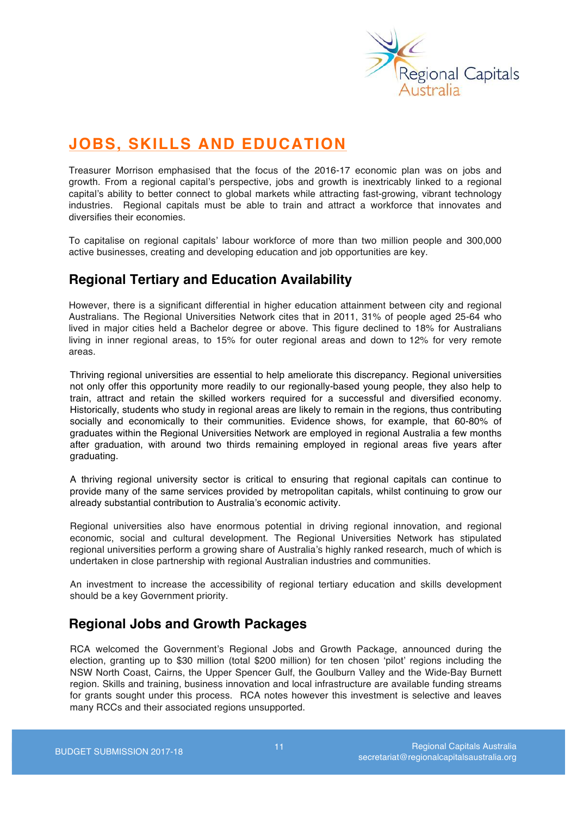

# **JOBS, SKILLS AND EDUCATION**

Treasurer Morrison emphasised that the focus of the 2016-17 economic plan was on jobs and growth. From a regional capital's perspective, jobs and growth is inextricably linked to a regional capital's ability to better connect to global markets while attracting fast-growing, vibrant technology industries. Regional capitals must be able to train and attract a workforce that innovates and diversifies their economies.

To capitalise on regional capitals' labour workforce of more than two million people and 300,000 active businesses, creating and developing education and job opportunities are key.

## **Regional Tertiary and Education Availability**

However, there is a significant differential in higher education attainment between city and regional Australians. The Regional Universities Network cites that in 2011, 31% of people aged 25-64 who lived in major cities held a Bachelor degree or above. This figure declined to 18% for Australians living in inner regional areas, to 15% for outer regional areas and down to 12% for very remote areas.

Thriving regional universities are essential to help ameliorate this discrepancy. Regional universities not only offer this opportunity more readily to our regionally-based young people, they also help to train, attract and retain the skilled workers required for a successful and diversified economy. Historically, students who study in regional areas are likely to remain in the regions, thus contributing socially and economically to their communities. Evidence shows, for example, that 60-80% of graduates within the Regional Universities Network are employed in regional Australia a few months after graduation, with around two thirds remaining employed in regional areas five years after graduating.

A thriving regional university sector is critical to ensuring that regional capitals can continue to provide many of the same services provided by metropolitan capitals, whilst continuing to grow our already substantial contribution to Australia's economic activity.

Regional universities also have enormous potential in driving regional innovation, and regional economic, social and cultural development. The Regional Universities Network has stipulated regional universities perform a growing share of Australia's highly ranked research, much of which is undertaken in close partnership with regional Australian industries and communities.

An investment to increase the accessibility of regional tertiary education and skills development should be a key Government priority.

## **Regional Jobs and Growth Packages**

RCA welcomed the Government's Regional Jobs and Growth Package, announced during the election, granting up to \$30 million (total \$200 million) for ten chosen 'pilot' regions including the NSW North Coast, Cairns, the Upper Spencer Gulf, the Goulburn Valley and the Wide-Bay Burnett region. Skills and training, business innovation and local infrastructure are available funding streams for grants sought under this process. RCA notes however this investment is selective and leaves many RCCs and their associated regions unsupported.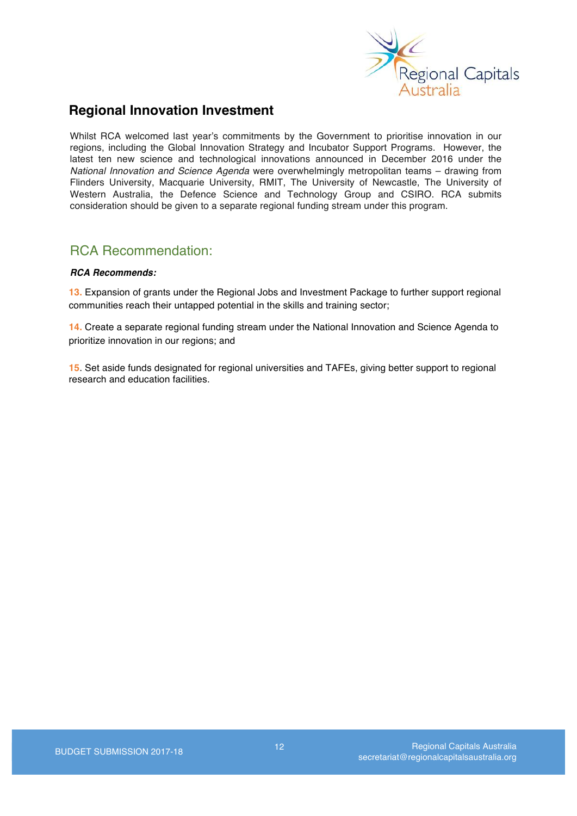

## **Regional Innovation Investment**

Whilst RCA welcomed last year's commitments by the Government to prioritise innovation in our regions, including the Global Innovation Strategy and Incubator Support Programs. However, the latest ten new science and technological innovations announced in December 2016 under the *National Innovation and Science Agenda* were overwhelmingly metropolitan teams – drawing from Flinders University, Macquarie University, RMIT, The University of Newcastle, The University of Western Australia, the Defence Science and Technology Group and CSIRO. RCA submits consideration should be given to a separate regional funding stream under this program.

## RCA Recommendation:

### *RCA Recommends:*

**13.** Expansion of grants under the Regional Jobs and Investment Package to further support regional communities reach their untapped potential in the skills and training sector;

**14.** Create a separate regional funding stream under the National Innovation and Science Agenda to prioritize innovation in our regions; and

**15**. Set aside funds designated for regional universities and TAFEs, giving better support to regional research and education facilities.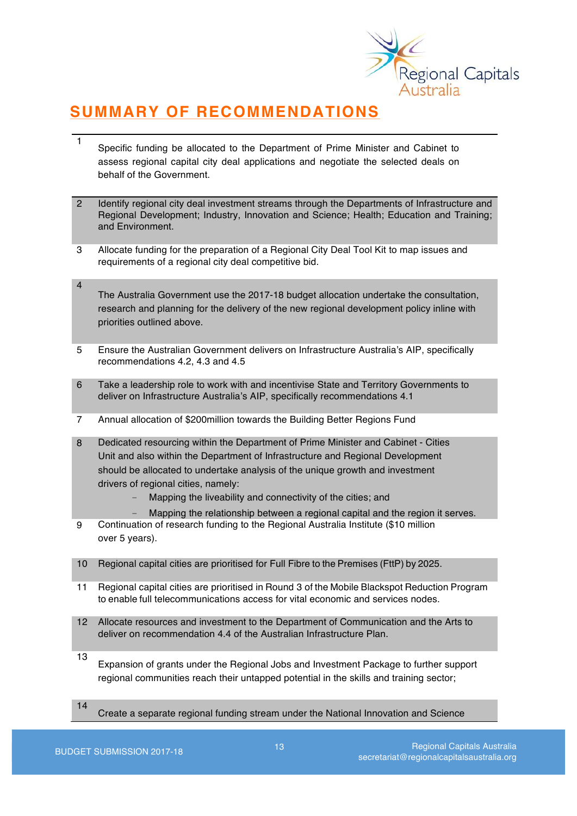

# **SUMMARY OF RECOMMENDATIONS**

- 1 Specific funding be allocated to the Department of Prime Minister and Cabinet to assess regional capital city deal applications and negotiate the selected deals on behalf of the Government.
- 2 Identify regional city deal investment streams through the Departments of Infrastructure and Regional Development; Industry, Innovation and Science; Health; Education and Training; and Environment.
- 3 Allocate funding for the preparation of a Regional City Deal Tool Kit to map issues and requirements of a regional city deal competitive bid.
- 4 The Australia Government use the 2017-18 budget allocation undertake the consultation, research and planning for the delivery of the new regional development policy inline with priorities outlined above.
- 5 Ensure the Australian Government delivers on Infrastructure Australia's AIP, specifically recommendations 4.2, 4.3 and 4.5
- 6 Take a leadership role to work with and incentivise State and Territory Governments to deliver on Infrastructure Australia's AIP, specifically recommendations 4.1
- 7 Annual allocation of \$200million towards the Building Better Regions Fund
- 8 Dedicated resourcing within the Department of Prime Minister and Cabinet Cities Unit and also within the Department of Infrastructure and Regional Development should be allocated to undertake analysis of the unique growth and investment drivers of regional cities, namely:
	- Mapping the liveability and connectivity of the cities; and
	- Mapping the relationship between a regional capital and the region it serves.
- 9 Continuation of research funding to the Regional Australia Institute (\$10 million over 5 years).
- 10 Regional capital cities are prioritised for Full Fibre to the Premises (FttP) by 2025.
- 11 Regional capital cities are prioritised in Round 3 of the Mobile Blackspot Reduction Program to enable full telecommunications access for vital economic and services nodes.
- 12 Allocate resources and investment to the Department of Communication and the Arts to deliver on recommendation 4.4 of the Australian Infrastructure Plan.
- 13 Expansion of grants under the Regional Jobs and Investment Package to further support regional communities reach their untapped potential in the skills and training sector;
- 14 Create a separate regional funding stream under the National Innovation and Science